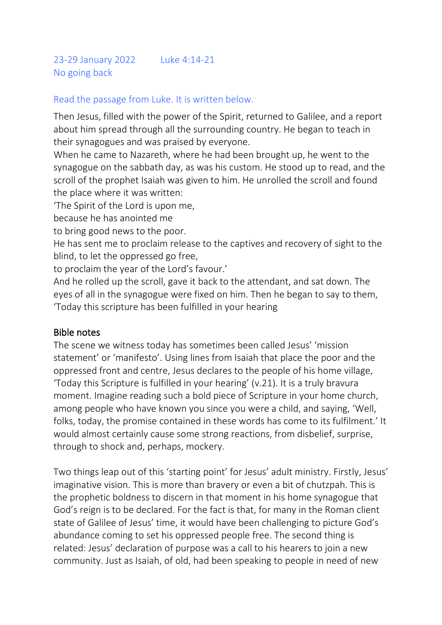## Read the passage from Luke. It is written below.

Then Jesus, filled with the power of the Spirit, returned to Galilee, and a report about him spread through all the surrounding country. He began to teach in their synagogues and was praised by everyone.

When he came to Nazareth, where he had been brought up, he went to the synagogue on the sabbath day, as was his custom. He stood up to read, and the scroll of the prophet Isaiah was given to him. He unrolled the scroll and found the place where it was written:

'The Spirit of the Lord is upon me,

because he has anointed me

to bring good news to the poor.

He has sent me to proclaim release to the captives and recovery of sight to the blind, to let the oppressed go free,

to proclaim the year of the Lord's favour.'

And he rolled up the scroll, gave it back to the attendant, and sat down. The eyes of all in the synagogue were fixed on him. Then he began to say to them, 'Today this scripture has been fulfilled in your hearing

## Bible notes

The scene we witness today has sometimes been called Jesus' 'mission statement' or 'manifesto'. Using lines from Isaiah that place the poor and the oppressed front and centre, Jesus declares to the people of his home village, 'Today this Scripture is fulfilled in your hearing' (v.21). It is a truly bravura moment. Imagine reading such a bold piece of Scripture in your home church, among people who have known you since you were a child, and saying, 'Well, folks, today, the promise contained in these words has come to its fulfilment.' It would almost certainly cause some strong reactions, from disbelief, surprise, through to shock and, perhaps, mockery.

Two things leap out of this 'starting point' for Jesus' adult ministry. Firstly, Jesus' imaginative vision. This is more than bravery or even a bit of chutzpah. This is the prophetic boldness to discern in that moment in his home synagogue that God's reign is to be declared. For the fact is that, for many in the Roman client state of Galilee of Jesus' time, it would have been challenging to picture God's abundance coming to set his oppressed people free. The second thing is related: Jesus' declaration of purpose was a call to his hearers to join a new community. Just as Isaiah, of old, had been speaking to people in need of new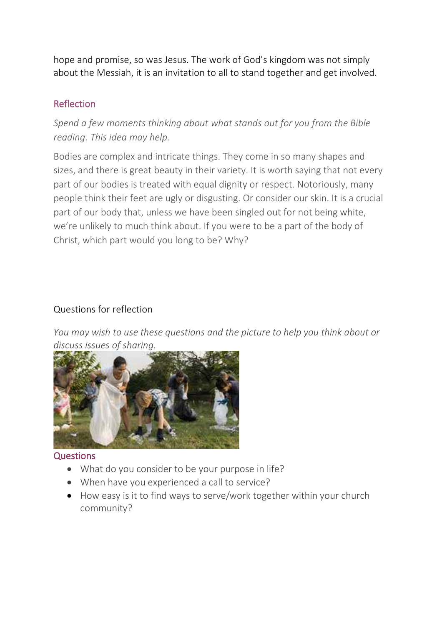hope and promise, so was Jesus. The work of God's kingdom was not simply about the Messiah, it is an invitation to all to stand together and get involved.

## Reflection

*Spend a few moments thinking about what stands out for you from the Bible reading. This idea may help.*

Bodies are complex and intricate things. They come in so many shapes and sizes, and there is great beauty in their variety. It is worth saying that not every part of our bodies is treated with equal dignity or respect. Notoriously, many people think their feet are ugly or disgusting. Or consider our skin. It is a crucial part of our body that, unless we have been singled out for not being white, we're unlikely to much think about. If you were to be a part of the body of Christ, which part would you long to be? Why?

## Questions for reflection

*You may wish to use these questions and the picture to help you think about or discuss issues of sharing.*



#### **Questions**

- What do you consider to be your purpose in life?
- When have you experienced a call to service?
- How easy is it to find ways to serve/work together within your church community?